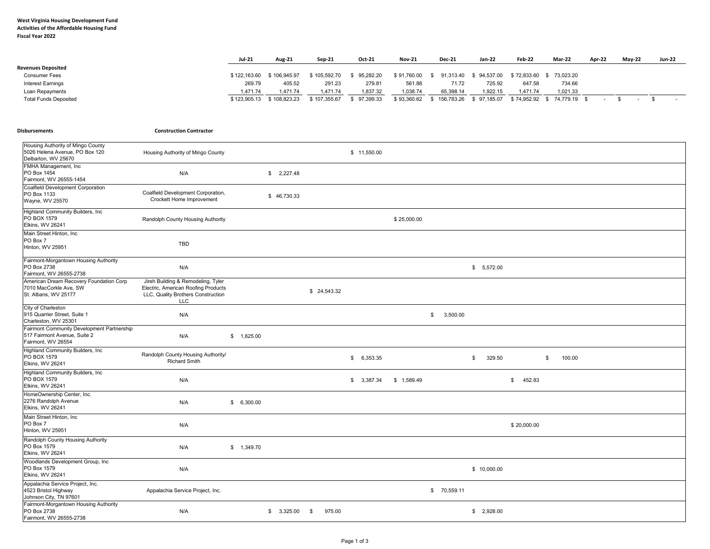## **West Virginia Housing Development Fund Activities of the Affordable Housing Fund Fiscal Year 2022**

|                              | <b>Jul-21</b> | Aug-21                    | Sep-21       | Oct-21    | <b>Nov-21</b> | <b>Dec-21</b>            | Jan-22      | Feb-22   | Mar-22                     | Apr-22 | <b>Mav-22</b> | <b>Jun-22</b> |
|------------------------------|---------------|---------------------------|--------------|-----------|---------------|--------------------------|-------------|----------|----------------------------|--------|---------------|---------------|
| <b>Revenues Deposited</b>    |               |                           |              |           |               |                          |             |          |                            |        |               |               |
| <b>Consumer Fees</b>         | \$122,163,60  | \$106.945.97              | \$105.592.70 | 95,282.20 | \$91,760.00   | 91,313.40<br>. ა.        | \$94,537.00 |          | \$72,833.60 \$73,023.20    |        |               |               |
| Interest Earnings            | 269.79        | 405.52                    | 291.23       | 279.81    | 561.88        | 71.72                    | 725.92      | 647.58   | 734.66                     |        |               |               |
| Loan Repayments              | 1,471.74      | 1.471.74                  | .471.74      | .837.32   | 1,038.74      | 65,398.14                | 1.922.15    | 1.471.74 | 1,021.33                   |        |               |               |
| <b>Total Funds Deposited</b> |               | \$123,905.13 \$108,823.23 | \$107.355.67 | 97,399.33 | \$93,360.62   | \$156,783.26 \$97,185.07 |             |          | \$74,952.92 \$74,779.19 \$ |        |               |               |

## $Distur$ sements

**Construction Contractor** 

| Housing Authority of Mingo County<br>5026 Helena Avenue, PO Box 120<br>Delbarton, WV 25670       | Housing Authority of Mingo County                                                                                             |             |             |             |        | \$11,550.00 |             |                |                              |
|--------------------------------------------------------------------------------------------------|-------------------------------------------------------------------------------------------------------------------------------|-------------|-------------|-------------|--------|-------------|-------------|----------------|------------------------------|
| FMHA Management, Inc<br>PO Box 1454<br>Fairmont, WV 26555-1454                                   | N/A                                                                                                                           |             | \$2,227.48  |             |        |             |             |                |                              |
| Coalfield Development Corporation<br>PO Box 1133<br>Wayne, WV 25570                              | Coalfield Development Corporation,<br>Crockett Home Improvement                                                               |             | \$46,730.33 |             |        |             |             |                |                              |
| Highland Community Builders, Inc.<br>PO BOX 1579<br>Elkins, WV 26241                             | Randolph County Housing Authority                                                                                             |             |             |             |        |             | \$25,000.00 |                |                              |
| Main Street Hinton, Inc<br>PO Box 7<br>Hinton, WV 25951                                          | TBD                                                                                                                           |             |             |             |        |             |             |                |                              |
| Fairmont-Morgantown Housing Authority<br>PO Box 2738<br>Fairmont, WV 26555-2738                  | N/A                                                                                                                           |             |             |             |        |             |             |                | \$5,572.00                   |
| American Dream Recovery Foundation Corp<br>7010 MacCorkle Ave, SW<br>St. Albans, WV 25177        | Jireh Building & Remodeling, Tyler<br>Electric, American Roofing Products<br>LLC, Quality Brothers Construction<br><b>LLC</b> |             |             | \$24,543.32 |        |             |             |                |                              |
| City of Charleston<br>915 Quarrier Street, Suite 1<br>Charleston, WV 25301                       | N/A                                                                                                                           |             |             |             |        |             |             | 3,500.00<br>\$ |                              |
| Fairmont Community Development Partnership<br>517 Fairmont Avenue, Suite 2<br>Fairmont, WV 26554 | N/A                                                                                                                           | \$ 1,625.00 |             |             |        |             |             |                |                              |
| Highland Community Builders, Inc.<br>PO BOX 1579<br>Elkins, WV 26241                             | Randolph County Housing Authority/<br>Richard Smith                                                                           |             |             |             |        | \$6,353.35  |             |                | 329.50<br>\$<br>\$<br>100.00 |
| Highland Community Builders, Inc.<br>PO BOX 1579<br>Elkins, WV 26241                             | N/A                                                                                                                           |             |             |             |        | \$3,387.34  | \$1,589.49  |                | 452.83<br>\$                 |
| HomeOwnership Center, Inc.<br>2276 Randolph Avenue<br>Elkins, WV 26241                           | N/A                                                                                                                           | \$6,300.00  |             |             |        |             |             |                |                              |
| Main Street Hinton, Inc<br>PO Box 7<br>Hinton, WV 25951                                          | N/A                                                                                                                           |             |             |             |        |             |             |                | \$20,000.00                  |
| Randolph County Housing Authority<br>PO Box 1579<br>Elkins, WV 26241                             | N/A                                                                                                                           | \$1,349.70  |             |             |        |             |             |                |                              |
| Woodlands Development Group, Inc<br>PO Box 1579<br>Elkins, WV 26241                              | N/A                                                                                                                           |             |             |             |        |             |             |                | \$10,000.00                  |
| Appalachia Service Project, Inc.<br>4523 Bristol Highway<br>Johnson City, TN 97601               | Appalachia Service Project, Inc.                                                                                              |             |             |             |        |             |             | \$ 70,559.11   |                              |
| Fairmont-Morgantown Housing Authority<br>PO Box 2738<br>Fairmont, WV 26555-2738                  | N/A                                                                                                                           |             | \$3,325.00  | \$          | 975.00 |             |             |                | \$2,928.00                   |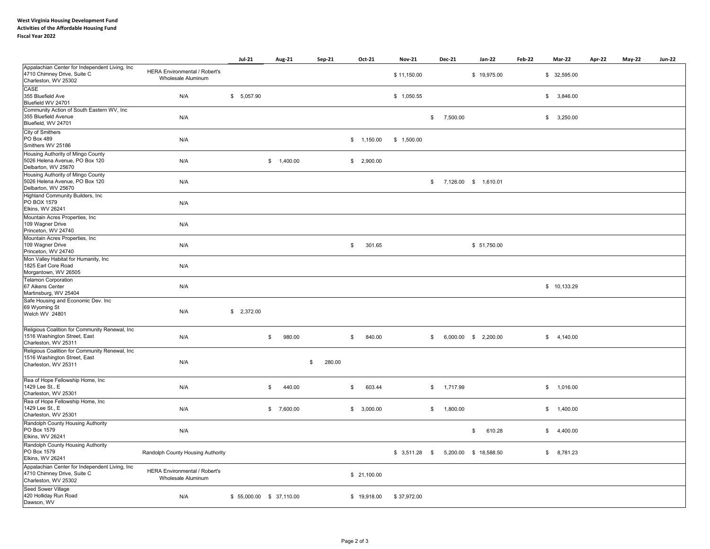|                                                                                                         |                                                     | <b>Jul-21</b>           | Aug-21       | Sep-21       | Oct-21       | <b>Nov-21</b>  | <b>Dec-21</b>             | Jan-22                  | Feb-22 | Mar-22       | Apr-22 | <b>May-22</b> | <b>Jun-22</b> |
|---------------------------------------------------------------------------------------------------------|-----------------------------------------------------|-------------------------|--------------|--------------|--------------|----------------|---------------------------|-------------------------|--------|--------------|--------|---------------|---------------|
| Appalachian Center for Independent Living, Inc<br>4710 Chimney Drive, Suite C<br>Charleston, WV 25302   | HERA Environmental / Robert's<br>Wholesale Aluminum |                         |              |              |              | \$11,150.00    |                           | \$19,975.00             |        | \$ 32,595.00 |        |               |               |
| CASE<br>355 Bluefield Ave<br>Bluefield WV 24701                                                         | N/A                                                 | \$5,057.90              |              |              |              | \$1,050.55     |                           |                         |        | \$3,846.00   |        |               |               |
| Community Action of South Eastern WV, Inc.<br>355 Bluefield Avenue<br>Bluefield, WV 24701               | N/A                                                 |                         |              |              |              |                | 7,500.00<br>\$            |                         |        | \$3,250.00   |        |               |               |
| City of Smithers<br>PO Box 489<br>Smithers WV 25186                                                     | N/A                                                 |                         |              |              | \$ 1,150.00  | \$1,500.00     |                           |                         |        |              |        |               |               |
| Housing Authority of Mingo County<br>5026 Helena Avenue, PO Box 120<br>Delbarton, WV 25670              | N/A                                                 |                         | \$ 1,400.00  |              | \$2,900.00   |                |                           |                         |        |              |        |               |               |
| Housing Authority of Mingo County<br>5026 Helena Avenue, PO Box 120<br>Delbarton, WV 25670              | N/A                                                 |                         |              |              |              |                |                           | $$7,126.00$ $$1,610.01$ |        |              |        |               |               |
| Highland Community Builders, Inc.<br>PO BOX 1579<br>Elkins, WV 26241                                    | N/A                                                 |                         |              |              |              |                |                           |                         |        |              |        |               |               |
| Mountain Acres Properties, Inc.<br>109 Wagner Drive<br>Princeton, WV 24740                              | N/A                                                 |                         |              |              |              |                |                           |                         |        |              |        |               |               |
| Mountain Acres Properties, Inc.<br>109 Wagner Drive<br>Princeton, WV 24740                              | N/A                                                 |                         |              |              | \$<br>301.65 |                |                           | \$ 51,750.00            |        |              |        |               |               |
| Mon Valley Habitat for Humanity, Inc<br>1825 Earl Core Road<br>Morgantown, WV 26505                     | N/A                                                 |                         |              |              |              |                |                           |                         |        |              |        |               |               |
| <b>Telamon Corporation</b><br>67 Aikens Center<br>Martinsburg, WV 25404                                 | N/A                                                 |                         |              |              |              |                |                           |                         |        | \$10,133.29  |        |               |               |
| Safe Housing and Economic Dev. Inc.<br>69 Wyoming St<br>Welch WV 24801                                  | N/A                                                 | \$2,372.00              |              |              |              |                |                           |                         |        |              |        |               |               |
| Religious Coalition for Community Renewal, Inc.<br>1516 Washington Street, East<br>Charleston, WV 25311 | N/A                                                 |                         | 980.00<br>\$ |              | 840.00<br>\$ |                | \$                        | 6,000.00 \$ 2,200.00    |        | \$4,140.00   |        |               |               |
| Religious Coalition for Community Renewal, Inc<br>1516 Washington Street, East<br>Charleston, WV 25311  | N/A                                                 |                         |              | 280.00<br>\$ |              |                |                           |                         |        |              |        |               |               |
| Rea of Hope Fellowship Home, Inc<br>1429 Lee St., E<br>Charleston, WV 25301                             | N/A                                                 |                         | 440.00<br>\$ |              | 603.44<br>\$ |                | 1,717.99<br>$\mathfrak s$ |                         |        | \$ 1,016.00  |        |               |               |
| Rea of Hope Fellowship Home, Inc<br>1429 Lee St., E<br>Charleston, WV 25301                             | N/A                                                 |                         | \$7,600.00   |              | \$3,000.00   |                | 1,800.00<br>\$            |                         |        | \$ 1,400.00  |        |               |               |
| Randolph County Housing Authority<br>PO Box 1579<br>Elkins, WV 26241                                    | N/A                                                 |                         |              |              |              |                |                           | 610.28<br>\$            |        | \$4,400.00   |        |               |               |
| Randolph County Housing Authority<br>PO Box 1579<br>Elkins, WV 26241                                    | Randolph County Housing Authority                   |                         |              |              |              | $$3,511.28$ \$ |                           | 5,200.00 \$ 18,588.50   |        | \$8,781.23   |        |               |               |
| Appalachian Center for Independent Living, Inc<br>4710 Chimney Drive, Suite C<br>Charleston, WV 25302   | HERA Environmental / Robert's<br>Wholesale Aluminum |                         |              |              | \$21,100.00  |                |                           |                         |        |              |        |               |               |
| Seed Sower Village<br>420 Holliday Run Road<br>Dawson, WV                                               | N/A                                                 | \$55,000.00 \$37,110.00 |              |              | \$19,918.00  | \$37,972.00    |                           |                         |        |              |        |               |               |